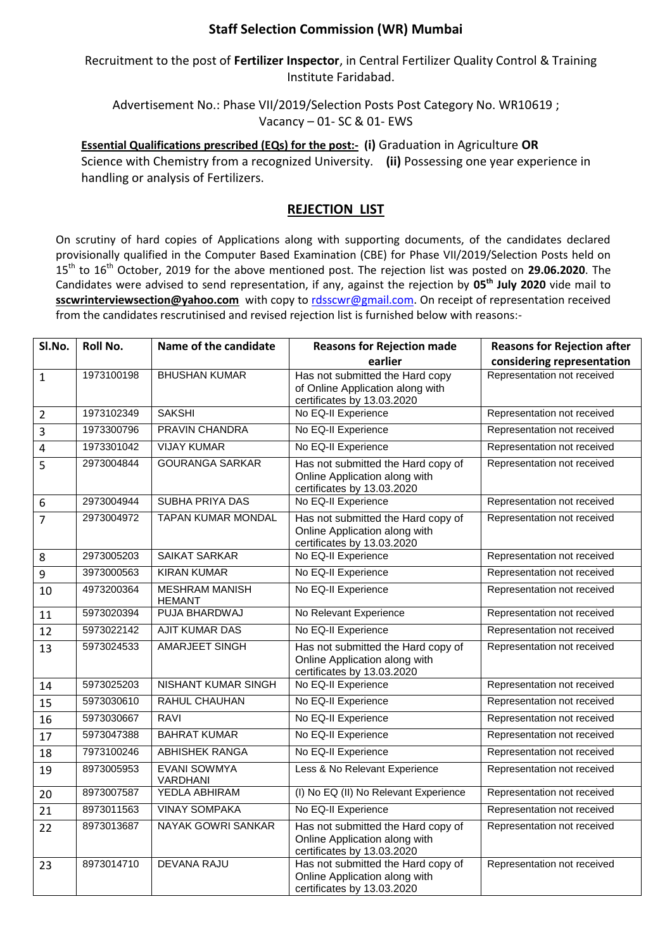## **Staff Selection Commission (WR) Mumbai**

## Recruitment to the post of **Fertilizer Inspector**, in Central Fertilizer Quality Control & Training Institute Faridabad.

Advertisement No.: Phase VII/2019/Selection Posts Post Category No. WR10619 ; Vacancy – 01- SC & 01- EWS

**Essential Qualifications prescribed (EQs) for the post:- (i)** Graduation in Agriculture **OR** Science with Chemistry from a recognized University. **(ii)** Possessing one year experience in handling or analysis of Fertilizers.

## **REJECTION LIST**

On scrutiny of hard copies of Applications along with supporting documents, of the candidates declared provisionally qualified in the Computer Based Examination (CBE) for Phase VII/2019/Selection Posts held on 15 th to 16th October, 2019 for the above mentioned post. The rejection list was posted on **29.06.2020**. The Candidates were advised to send representation, if any, against the rejection by **05th July 2020** vide mail to **sscwrinterviewsection@yahoo.com** with copy to [rdsscwr@gmail.com.](mailto:rdsscwr@gmail.com) On receipt of representation received from the candidates rescrutinised and revised rejection list is furnished below with reasons:-

| SI.No.         | <b>Roll No.</b> | Name of the candidate                  | <b>Reasons for Rejection made</b>                                                                 | <b>Reasons for Rejection after</b> |
|----------------|-----------------|----------------------------------------|---------------------------------------------------------------------------------------------------|------------------------------------|
|                |                 |                                        | earlier                                                                                           | considering representation         |
| $\mathbf{1}$   | 1973100198      | <b>BHUSHAN KUMAR</b>                   | Has not submitted the Hard copy<br>of Online Application along with<br>certificates by 13.03.2020 | Representation not received        |
| $\overline{2}$ | 1973102349      | <b>SAKSHI</b>                          | No EQ-II Experience                                                                               | Representation not received        |
| $\overline{3}$ | 1973300796      | PRAVIN CHANDRA                         | No EQ-II Experience                                                                               | Representation not received        |
| 4              | 1973301042      | <b>VIJAY KUMAR</b>                     | No EQ-II Experience                                                                               | Representation not received        |
| 5              | 2973004844      | <b>GOURANGA SARKAR</b>                 | Has not submitted the Hard copy of<br>Online Application along with<br>certificates by 13.03.2020 | Representation not received        |
| 6              | 2973004944      | <b>SUBHA PRIYA DAS</b>                 | No EQ-II Experience                                                                               | Representation not received        |
| $\overline{7}$ | 2973004972      | <b>TAPAN KUMAR MONDAL</b>              | Has not submitted the Hard copy of<br>Online Application along with<br>certificates by 13.03.2020 | Representation not received        |
| 8              | 2973005203      | <b>SAIKAT SARKAR</b>                   | No EQ-II Experience                                                                               | Representation not received        |
| 9              | 3973000563      | <b>KIRAN KUMAR</b>                     | No EQ-II Experience                                                                               | Representation not received        |
| 10             | 4973200364      | <b>MESHRAM MANISH</b><br><b>HEMANT</b> | No EQ-II Experience                                                                               | Representation not received        |
| 11             | 5973020394      | PUJA BHARDWAJ                          | No Relevant Experience                                                                            | Representation not received        |
| 12             | 5973022142      | <b>AJIT KUMAR DAS</b>                  | No EQ-II Experience                                                                               | Representation not received        |
| 13             | 5973024533      | <b>AMARJEET SINGH</b>                  | Has not submitted the Hard copy of<br>Online Application along with<br>certificates by 13.03.2020 | Representation not received        |
| 14             | 5973025203      | <b>NISHANT KUMAR SINGH</b>             | No EQ-II Experience                                                                               | Representation not received        |
| 15             | 5973030610      | <b>RAHUL CHAUHAN</b>                   | No EQ-II Experience                                                                               | Representation not received        |
| 16             | 5973030667      | RAVI                                   | No EQ-II Experience                                                                               | Representation not received        |
| 17             | 5973047388      | <b>BAHRAT KUMAR</b>                    | No EQ-II Experience                                                                               | Representation not received        |
| 18             | 7973100246      | <b>ABHISHEK RANGA</b>                  | No EQ-II Experience                                                                               | Representation not received        |
| 19             | 8973005953      | <b>EVANI SOWMYA</b><br>VARDHANI        | Less & No Relevant Experience                                                                     | Representation not received        |
| 20             | 8973007587      | YEDLA ABHIRAM                          | (I) No EQ (II) No Relevant Experience                                                             | Representation not received        |
| 21             | 8973011563      | <b>VINAY SOMPAKA</b>                   | No EQ-II Experience                                                                               | Representation not received        |
| 22             | 8973013687      | NAYAK GOWRI SANKAR                     | Has not submitted the Hard copy of<br>Online Application along with<br>certificates by 13.03.2020 | Representation not received        |
| 23             | 8973014710      | <b>DEVANA RAJU</b>                     | Has not submitted the Hard copy of<br>Online Application along with<br>certificates by 13.03.2020 | Representation not received        |